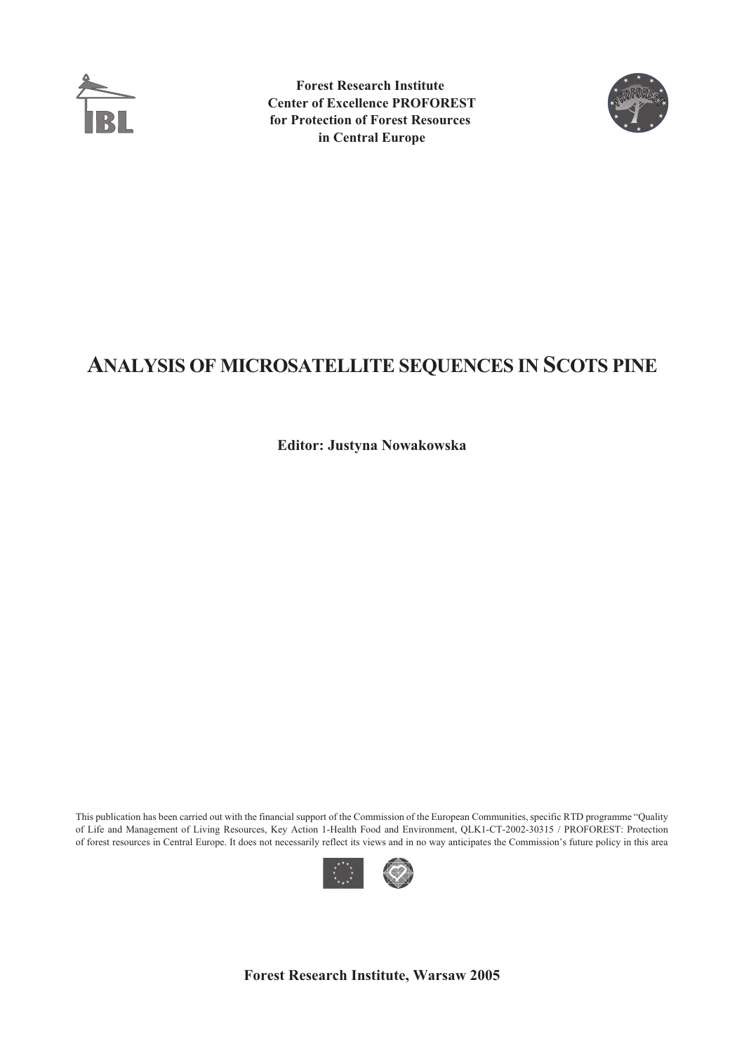

**Forest Research Institute Center of Excellence PROFOREST for Protection of Forest Resources in Central Europe**



# **ANALYSIS OF MICROSATELLITE SEQUENCES IN SCOTS PINE**

**Editor: Justyna Nowakowska**

This publication has been carried out with the financial support of the Commission of the European Communities, specific RTD programme "Quality of Life and Management of Living Resources, Key Action 1-Health Food and Environment, QLK1-CT-2002-30315 / PROFOREST: Protection of forest resources in Central Europe. It does not necessarily reflect its views and in no way anticipates the Commission's future policy in this area



**Forest Research Institute, Warsaw 2005**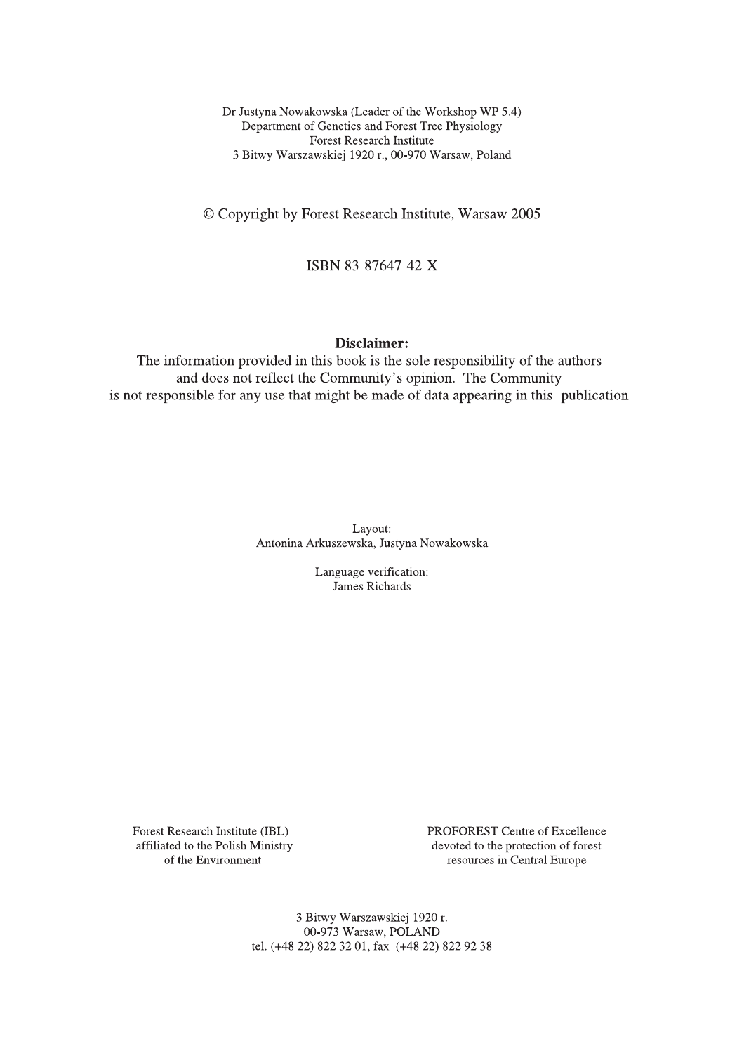Dr Justyna Nowakowska (Leader of the Workshop WP 5.4) Department of Genetics and Forest Tree Physiology **Forest Research Institute** 3 Bitwy Warszawskiej 1920 r., 00-970 Warsaw, Poland

© Copyright by Forest Research Institute, Warsaw 2005

ISBN 83-87647-42-X

#### Disclaimer:

The information provided in this book is the sole responsibility of the authors and does not reflect the Community's opinion. The Community is not responsible for any use that might be made of data appearing in this publication

> Layout: Antonina Arkuszewska, Justyna Nowakowska

> > Language verification: James Richards

Forest Research Institute (IBL) affiliated to the Polish Ministry of the Environment

PROFOREST Centre of Excellence devoted to the protection of forest resources in Central Europe

3 Bitwy Warszawskiej 1920 r. 00-973 Warsaw, POLAND tel. (+48 22) 822 32 01, fax (+48 22) 822 92 38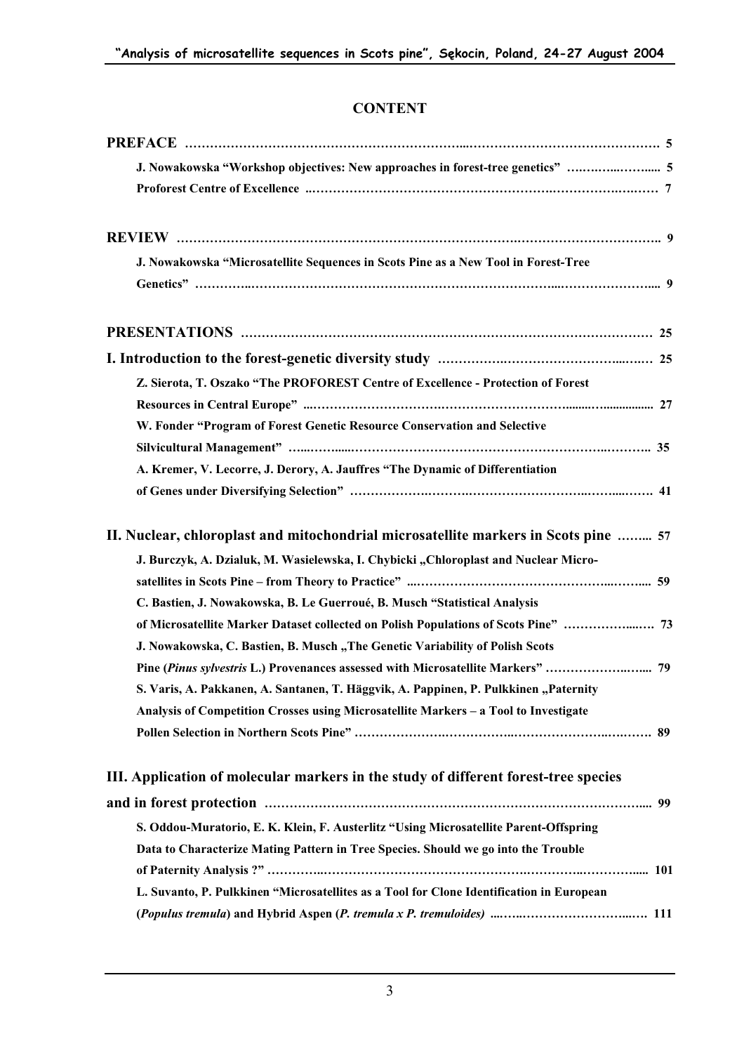## **CONTENT**

| J. Nowakowska "Workshop objectives: New approaches in forest-tree genetics"  5           |
|------------------------------------------------------------------------------------------|
|                                                                                          |
|                                                                                          |
| J. Nowakowska "Microsatellite Sequences in Scots Pine as a New Tool in Forest-Tree       |
|                                                                                          |
|                                                                                          |
|                                                                                          |
| Z. Sierota, T. Oszako "The PROFOREST Centre of Excellence - Protection of Forest         |
|                                                                                          |
| W. Fonder "Program of Forest Genetic Resource Conservation and Selective                 |
|                                                                                          |
| A. Kremer, V. Lecorre, J. Derory, A. Jauffres "The Dynamic of Differentiation            |
|                                                                                          |
| II. Nuclear, chloroplast and mitochondrial microsatellite markers in Scots pine  57      |
| J. Burczyk, A. Dzialuk, M. Wasielewska, I. Chybicki "Chloroplast and Nuclear Micro-      |
|                                                                                          |
| C. Bastien, J. Nowakowska, B. Le Guerroué, B. Musch "Statistical Analysis                |
| of Microsatellite Marker Dataset collected on Polish Populations of Scots Pine"  73      |
| J. Nowakowska, C. Bastien, B. Musch "The Genetic Variability of Polish Scots             |
| Pine (Pinus sylvestris L.) Provenances assessed with Microsatellite Markers"  79         |
| S. Varis, A. Pakkanen, A. Santanen, T. Häggvik, A. Pappinen, P. Pulkkinen "Paternity     |
| Analysis of Competition Crosses using Microsatellite Markers - a Tool to Investigate     |
|                                                                                          |
| III. Application of molecular markers in the study of different forest-tree species      |
|                                                                                          |
| S. Oddou-Muratorio, E. K. Klein, F. Austerlitz "Using Microsatellite Parent-Offspring    |
| Data to Characterize Mating Pattern in Tree Species. Should we go into the Trouble       |
|                                                                                          |
| L. Suvanto, P. Pulkkinen "Microsatellites as a Tool for Clone Identification in European |
|                                                                                          |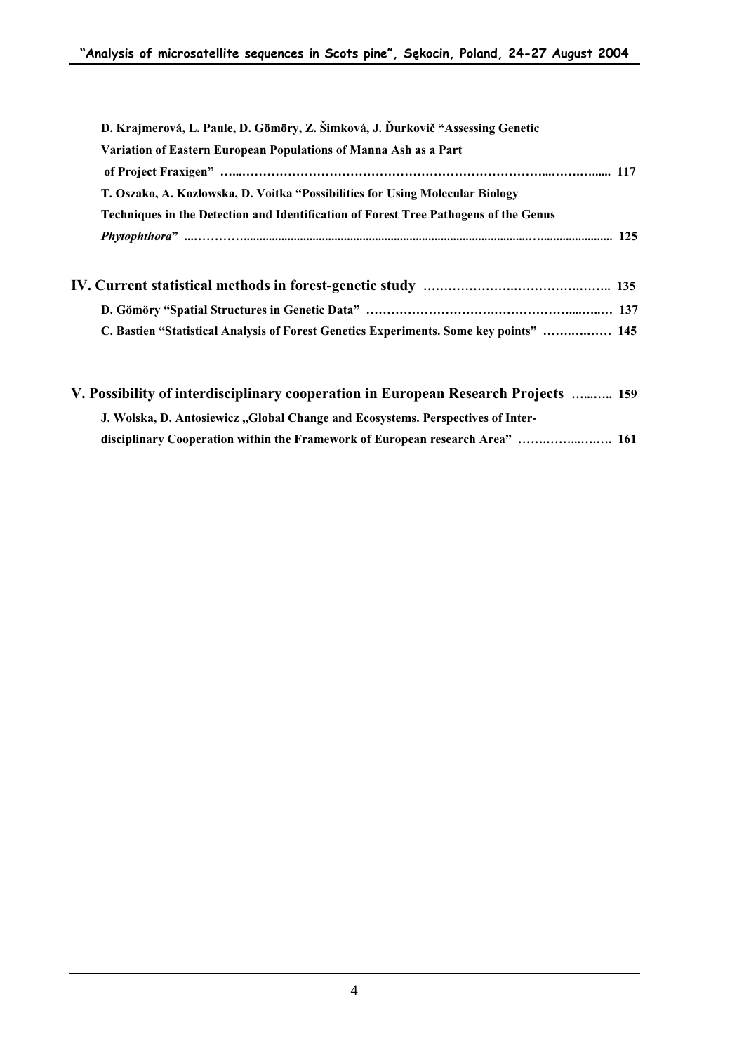| D. Krajmerová, L. Paule, D. Gömöry, Z. Šimková, J. Ďurkovič "Assessing Genetic         |  |
|----------------------------------------------------------------------------------------|--|
| Variation of Eastern European Populations of Manna Ash as a Part                       |  |
|                                                                                        |  |
| T. Oszako, A. Kozłowska, D. Voitka "Possibilities for Using Molecular Biology          |  |
| Techniques in the Detection and Identification of Forest Tree Pathogens of the Genus   |  |
|                                                                                        |  |
|                                                                                        |  |
|                                                                                        |  |
| C. Bastien "Statistical Analysis of Forest Genetics Experiments. Some key points"  145 |  |
|                                                                                        |  |

| V. Possibility of interdisciplinary cooperation in European Research Projects  159 |  |
|------------------------------------------------------------------------------------|--|
| J. Wolska, D. Antosiewicz "Global Change and Ecosystems. Perspectives of Inter-    |  |
| disciplinary Cooperation within the Framework of European research Area"  161      |  |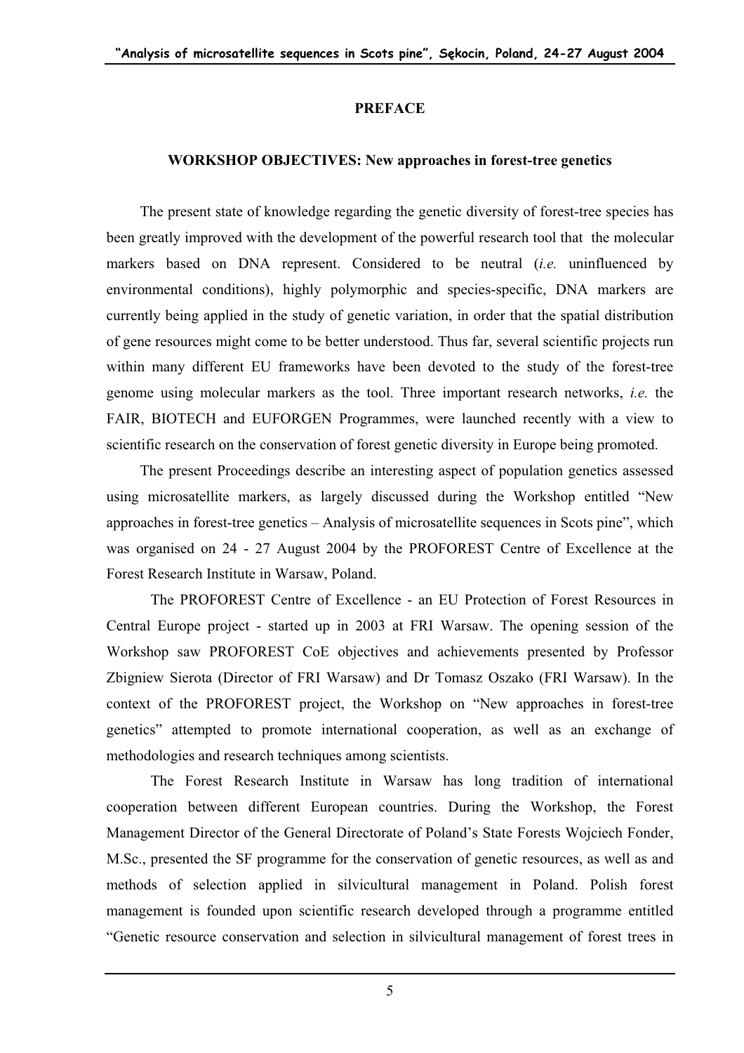### **PREFACE**

### **WORKSHOP OBJECTIVES: New approaches in forest-tree genetics**

The present state of knowledge regarding the genetic diversity of forest-tree species has been greatly improved with the development of the powerful research tool that the molecular markers based on DNA represent. Considered to be neutral (*i.e.* uninfluenced by environmental conditions), highly polymorphic and species-specific, DNA markers are currently being applied in the study of genetic variation, in order that the spatial distribution of gene resources might come to be better understood. Thus far, several scientific projects run within many different EU frameworks have been devoted to the study of the forest-tree genome using molecular markers as the tool. Three important research networks, *i.e.* the FAIR, BIOTECH and EUFORGEN Programmes, were launched recently with a view to scientific research on the conservation of forest genetic diversity in Europe being promoted.

The present Proceedings describe an interesting aspect of population genetics assessed using microsatellite markers, as largely discussed during the Workshop entitled "New approaches in forest-tree genetics – Analysis of microsatellite sequences in Scots pine", which was organised on 24 - 27 August 2004 by the PROFOREST Centre of Excellence at the Forest Research Institute in Warsaw, Poland.

The PROFOREST Centre of Excellence - an EU Protection of Forest Resources in Central Europe project - started up in 2003 at FRI Warsaw. The opening session of the Workshop saw PROFOREST CoE objectives and achievements presented by Professor Zbigniew Sierota (Director of FRI Warsaw) and Dr Tomasz Oszako (FRI Warsaw). In the context of the PROFOREST project, the Workshop on "New approaches in forest-tree genetics" attempted to promote international cooperation, as well as an exchange of methodologies and research techniques among scientists.

The Forest Research Institute in Warsaw has long tradition of international cooperation between different European countries. During the Workshop, the Forest Management Director of the General Directorate of Poland's State Forests Wojciech Fonder, M.Sc., presented the SF programme for the conservation of genetic resources, as well as and methods of selection applied in silvicultural management in Poland. Polish forest management is founded upon scientific research developed through a programme entitled "Genetic resource conservation and selection in silvicultural management of forest trees in

5